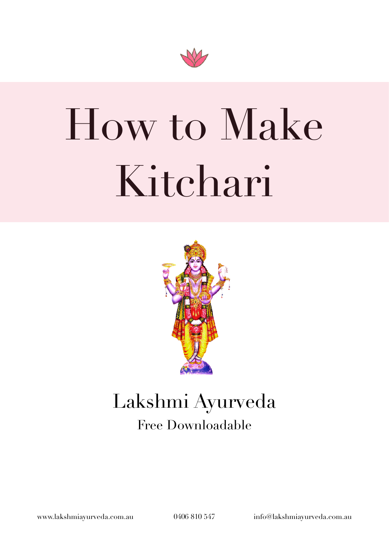

# How to Make Kitchari



### Lakshmi Ayurveda Free Downloadable

[www.lakshmiayurveda.com.au](http://www.lakshmiayurveda.com.au) 0406 810 547 [info@lakshmiayurveda.com.au](mailto:info@lakshmiayurveda.com.au)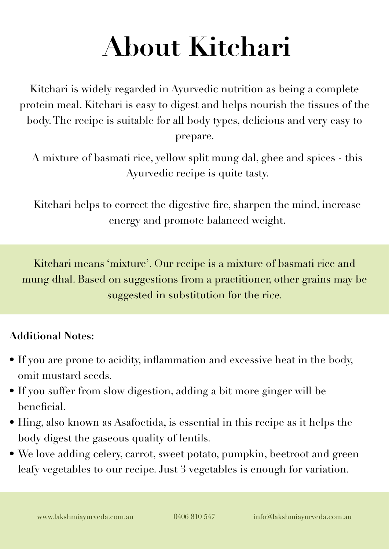### **About Kitchari**

Kitchari is widely regarded in Ayurvedic nutrition as being a complete protein meal. Kitchari is easy to digest and helps nourish the tissues of the body. The recipe is suitable for all body types, delicious and very easy to prepare.

A mixture of basmati rice, yellow split mung dal, ghee and spices - this Ayurvedic recipe is quite tasty.

Kitchari helps to correct the digestive fire, sharpen the mind, increase energy and promote balanced weight.

Kitchari means 'mixture'. Our recipe is a mixture of basmati rice and mung dhal. Based on suggestions from a practitioner, other grains may be suggested in substitution for the rice.

#### **Additional Notes:**

- If you are prone to acidity, inflammation and excessive heat in the body, omit mustard seeds.
- If you suffer from slow digestion, adding a bit more ginger will be beneficial.
- Hing, also known as Asafoetida, is essential in this recipe as it helps the body digest the gaseous quality of lentils.
- We love adding celery, carrot, sweet potato, pumpkin, beetroot and green leafy vegetables to our recipe. Just 3 vegetables is enough for variation.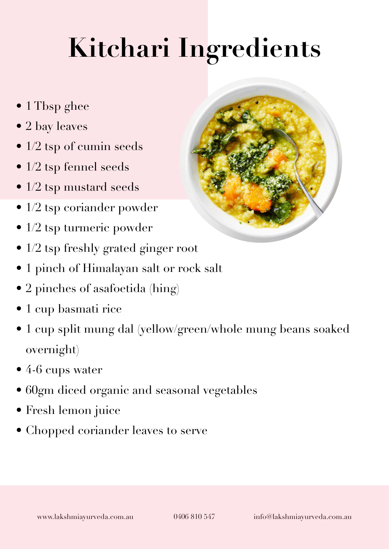## **Kitchari Ingredients**

- 1 Tbsp ghee
- 2 bay leaves
- 1/2 tsp of cumin seeds
- 1/2 tsp fennel seeds
- 1/2 tsp mustard seeds
- 1/2 tsp coriander powder
- 1/2 tsp turmeric powder
- 1/2 tsp freshly grated ginger root
- 1 pinch of Himalayan salt or rock salt
- 2 pinches of asafoetida (hing)
- 1 cup basmati rice
- 1 cup split mung dal (yellow/green/whole mung beans soaked overnight)
- 4-6 cups water
- 60gm diced organic and seasonal vegetables
- Fresh lemon juice
- Chopped coriander leaves to serve

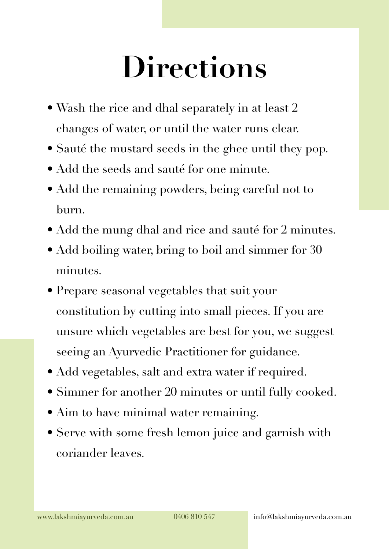## **Directions**

- Wash the rice and dhal separately in at least 2 changes of water, or until the water runs clear.
- Sauté the mustard seeds in the ghee until they pop.
- Add the seeds and sauté for one minute.
- Add the remaining powders, being careful not to burn.
- Add the mung dhal and rice and sauté for 2 minutes.
- Add boiling water, bring to boil and simmer for 30 minutes.
- Prepare seasonal vegetables that suit your constitution by cutting into small pieces. If you are unsure which vegetables are best for you, we suggest seeing an Ayurvedic Practitioner for guidance.
- Add vegetables, salt and extra water if required.
- Simmer for another 20 minutes or until fully cooked.
- Aim to have minimal water remaining.
- Serve with some fresh lemon juice and garnish with coriander leaves.